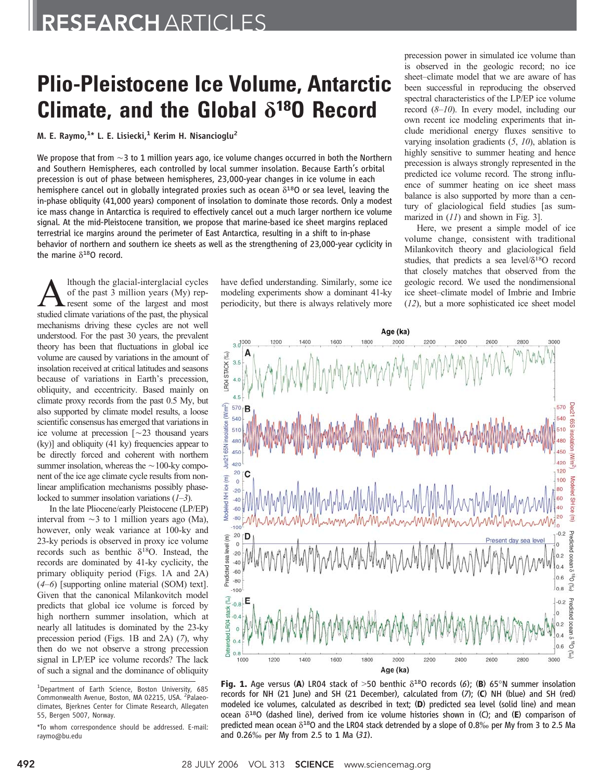## Plio-Pleistocene Ice Volume, Antarctic Climate, and the Global *d*18O Record

M. E. Raymo,<sup>1</sup>\* L. E. Lisiecki,<sup>1</sup> Kerim H. Nisancioglu<sup>2</sup>

We propose that from  $\sim$  3 to 1 million years ago, ice volume changes occurred in both the Northern and Southern Hemispheres, each controlled by local summer insolation. Because Earth's orbital precession is out of phase between hemispheres, 23,000-year changes in ice volume in each hemisphere cancel out in globally integrated proxies such as ocean  $\delta^{18}$ O or sea level, leaving the in-phase obliquity (41,000 years) component of insolation to dominate those records. Only a modest ice mass change in Antarctica is required to effectively cancel out a much larger northern ice volume signal. At the mid-Pleistocene transition, we propose that marine-based ice sheet margins replaced terrestrial ice margins around the perimeter of East Antarctica, resulting in a shift to in-phase behavior of northern and southern ice sheets as well as the strengthening of 23,000-year cyclicity in the marine  $\delta^{18}$ O record.

A lthough the glacial-interglacial cycles<br>of the past 3 million years (My) rep-<br>resent some of the largest and most<br>studied climate variations of the nast the physical of the past 3 million years (My) repstudied climate variations of the past, the physical mechanisms driving these cycles are not well understood. For the past 30 years, the prevalent theory has been that fluctuations in global ice volume are caused by variations in the amount of insolation received at critical latitudes and seasons because of variations in Earth's precession, obliquity, and eccentricity. Based mainly on climate proxy records from the past 0.5 My, but also supported by climate model results, a loose scientific consensus has emerged that variations in ice volume at precession  $\lceil$  ~23 thousand years  $(ky)$ ] and obliquity (41 ky) frequencies appear to be directly forced and coherent with northern summer insolation, whereas the  $\sim$ 100-ky component of the ice age climate cycle results from nonlinear amplification mechanisms possibly phaselocked to summer insolation variations  $(1-3)$ .

In the late Pliocene/early Pleistocene (LP/EP) interval from  $\sim$ 3 to 1 million years ago (Ma), however, only weak variance at 100-ky and 23-ky periods is observed in proxy ice volume records such as benthic  $\delta^{18}O$ . Instead, the records are dominated by 41-ky cyclicity, the primary obliquity period (Figs. 1A and 2A)  $(4–6)$  [supporting online material (SOM) text]. Given that the canonical Milankovitch model predicts that global ice volume is forced by high northern summer insolation, which at nearly all latitudes is dominated by the 23-ky precession period (Figs. 1B and 2A) (7), why then do we not observe a strong precession signal in LP/EP ice volume records? The lack of such a signal and the dominance of obliquity

have defied understanding. Similarly, some ice modeling experiments show a dominant 41-ky periodicity, but there is always relatively more

precession power in simulated ice volume than is observed in the geologic record; no ice sheet–climate model that we are aware of has been successful in reproducing the observed spectral characteristics of the LP/EP ice volume record (8–10). In every model, including our own recent ice modeling experiments that include meridional energy fluxes sensitive to varying insolation gradients  $(5, 10)$ , ablation is highly sensitive to summer heating and hence precession is always strongly represented in the predicted ice volume record. The strong influence of summer heating on ice sheet mass balance is also supported by more than a century of glaciological field studies [as summarized in  $(11)$  and shown in Fig. 3].

Here, we present a simple model of ice volume change, consistent with traditional Milankovitch theory and glaciological field studies, that predicts a sea level/ $\delta^{18}O$  record that closely matches that observed from the geologic record. We used the nondimensional ice sheet–climate model of Imbrie and Imbrie (12), but a more sophisticated ice sheet model



Fig. 1. Age versus (A) LR04 stack of >50 benthic  $\delta^{18}$ O records (6); (B) 65°N summer insolation records for NH (21 June) and SH (21 December), calculated from (7); (C) NH (blue) and SH (red) modeled ice volumes, calculated as described in text; (D) predicted sea level (solid line) and mean ocean  $\delta^{18}$ O (dashed line), derived from ice volume histories shown in (C); and (E) comparison of predicted mean ocean  $\delta^{18}$ O and the LR04 stack detrended by a slope of 0.8% per My from 3 to 2.5 Ma and 0.26 $\%$  per My from 2.5 to 1 Ma  $(31)$ .

<sup>&</sup>lt;sup>1</sup>Department of Earth Science, Boston University, 685 Commonwealth Avenue, Boston, MA 02215, USA. <sup>2</sup>Palaeoclimates, Bjerknes Center for Climate Research, Allegaten 55, Bergen 5007, Norway.

<sup>\*</sup>To whom correspondence should be addressed. E-mail: raymo@bu.edu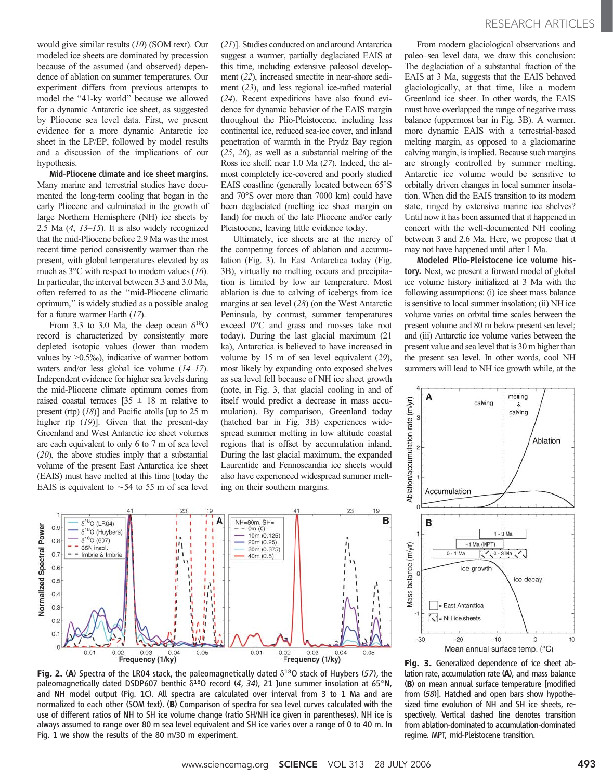would give similar results (10) (SOM text). Our modeled ice sheets are dominated by precession because of the assumed (and observed) dependence of ablation on summer temperatures. Our experiment differs from previous attempts to model the "41-ky world" because we allowed for a dynamic Antarctic ice sheet, as suggested by Pliocene sea level data. First, we present evidence for a more dynamic Antarctic ice sheet in the LP/EP, followed by model results and a discussion of the implications of our hypothesis.

Mid-Pliocene climate and ice sheet margins. Many marine and terrestrial studies have documented the long-term cooling that began in the early Pliocene and culminated in the growth of large Northern Hemisphere (NH) ice sheets by 2.5 Ma  $(4, 13-15)$ . It is also widely recognized that the mid-Pliocene before 2.9 Ma was the most recent time period consistently warmer than the present, with global temperatures elevated by as much as  $3^{\circ}$ C with respect to modern values (16). In particular, the interval between 3.3 and 3.0 Ma, often referred to as the ''mid-Pliocene climatic optimum,'' is widely studied as a possible analog for a future warmer Earth (17).

From 3.3 to 3.0 Ma, the deep ocean  $\delta^{18}O$ record is characterized by consistently more depleted isotopic values (lower than modern values by  $>0.5\%$ ), indicative of warmer bottom waters and/or less global ice volume (14–17). Independent evidence for higher sea levels during the mid-Pliocene climate optimum comes from raised coastal terraces  $[35 \pm 18 \text{ m} \text{ relative to}$ present (rtp) (18)] and Pacific atolls [up to 25 m higher rtp (19)]. Given that the present-day Greenland and West Antarctic ice sheet volumes are each equivalent to only 6 to 7 m of sea level (20), the above studies imply that a substantial volume of the present East Antarctica ice sheet (EAIS) must have melted at this time [today the EAIS is equivalent to  $\sim$  54 to 55 m of sea level (21)]. Studies conducted on and around Antarctica suggest a warmer, partially deglaciated EAIS at this time, including extensive paleosol development (22), increased smectite in near-shore sediment (23), and less regional ice-rafted material (24). Recent expeditions have also found evidence for dynamic behavior of the EAIS margin throughout the Plio-Pleistocene, including less continental ice, reduced sea-ice cover, and inland penetration of warmth in the Prydz Bay region (25, 26), as well as a substantial melting of the Ross ice shelf, near 1.0 Ma (27). Indeed, the almost completely ice-covered and poorly studied EAIS coastline (generally located between  $65^{\circ}$ S and 70°S over more than 7000 km) could have been deglaciated (melting ice sheet margin on land) for much of the late Pliocene and/or early Pleistocene, leaving little evidence today.

Ultimately, ice sheets are at the mercy of the competing forces of ablation and accumulation (Fig. 3). In East Antarctica today (Fig. 3B), virtually no melting occurs and precipitation is limited by low air temperature. Most ablation is due to calving of icebergs from ice margins at sea level (28) (on the West Antarctic Peninsula, by contrast, summer temperatures exceed  $0^{\circ}$ C and grass and mosses take root today). During the last glacial maximum (21 ka), Antarctica is believed to have increased in volume by 15 m of sea level equivalent (29), most likely by expanding onto exposed shelves as sea level fell because of NH ice sheet growth (note, in Fig. 3, that glacial cooling in and of itself would predict a decrease in mass accumulation). By comparison, Greenland today (hatched bar in Fig. 3B) experiences widespread summer melting in low altitude coastal regions that is offset by accumulation inland. During the last glacial maximum, the expanded Laurentide and Fennoscandia ice sheets would also have experienced widespread summer melting on their southern margins.

From modern glaciological observations and paleo–sea level data, we draw this conclusion: The deglaciation of a substantial fraction of the EAIS at 3 Ma, suggests that the EAIS behaved glaciologically, at that time, like a modern Greenland ice sheet. In other words, the EAIS must have overlapped the range of negative mass balance (uppermost bar in Fig. 3B). A warmer, more dynamic EAIS with a terrestrial-based melting margin, as opposed to a glaciomarine calving margin, is implied. Because such margins are strongly controlled by summer melting, Antarctic ice volume would be sensitive to orbitally driven changes in local summer insolation. When did the EAIS transition to its modern state, ringed by extensive marine ice shelves? Until now it has been assumed that it happened in concert with the well-documented NH cooling between 3 and 2.6 Ma. Here, we propose that it may not have happened until after 1 Ma.

Modeled Plio-Pleistocene ice volume history. Next, we present a forward model of global ice volume history initialized at 3 Ma with the following assumptions: (i) ice sheet mass balance is sensitive to local summer insolation; (ii) NH ice volume varies on orbital time scales between the present volume and 80 m below present sea level; and (iii) Antarctic ice volume varies between the present value and sea level that is 30 m higher than the present sea level. In other words, cool NH summers will lead to NH ice growth while, at the



lation rate, accumulation rate (A), and mass balance (B) on mean annual surface temperature [modified from (58)]. Hatched and open bars show hypothesized time evolution of NH and SH ice sheets, respectively. Vertical dashed line denotes transition from ablation-dominated to accumulation-dominated regime. MPT, mid-Pleistocene transition.



Fig. 2. (A) Spectra of the LR04 stack, the paleomagnetically dated  $\delta^{18}$ O stack of Huybers (57), the paleomagnetically dated DSDP607 benthic  $\delta^{18}$ O record (4, 34), 21 June summer insolation at 65°N, and NH model output (Fig. 1C). All spectra are calculated over interval from 3 to 1 Ma and are normalized to each other (SOM text). (B) Comparison of spectra for sea level curves calculated with the use of different ratios of NH to SH ice volume change (ratio SH/NH ice given in parentheses). NH ice is always assumed to range over 80 m sea level equivalent and SH ice varies over a range of 0 to 40 m. In Fig. 1 we show the results of the 80 m/30 m experiment.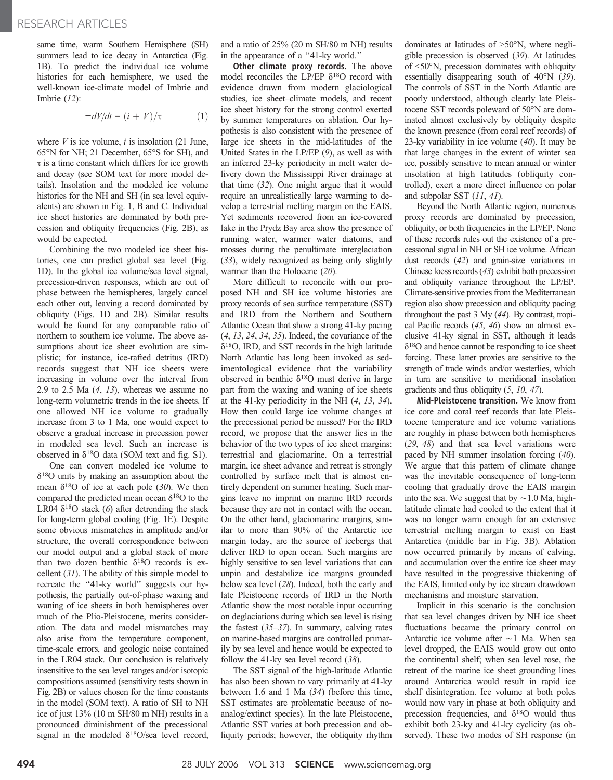same time, warm Southern Hemisphere (SH) summers lead to ice decay in Antarctica (Fig. 1B). To predict the individual ice volume histories for each hemisphere, we used the well-known ice-climate model of Imbrie and Imbrie (12):

$$
-dV/dt = (i + V)/\tau \tag{1}
$$

where  $V$  is ice volume,  $i$  is insolation (21 June,  $65^{\circ}$ N for NH; 21 December,  $65^{\circ}$ S for SH), and  $\tau$  is a time constant which differs for ice growth and decay (see SOM text for more model details). Insolation and the modeled ice volume histories for the NH and SH (in sea level equivalents) are shown in Fig. 1, B and C. Individual ice sheet histories are dominated by both precession and obliquity frequencies (Fig. 2B), as would be expected.

Combining the two modeled ice sheet histories, one can predict global sea level (Fig. 1D). In the global ice volume/sea level signal, precession-driven responses, which are out of phase between the hemispheres, largely cancel each other out, leaving a record dominated by obliquity (Figs. 1D and 2B). Similar results would be found for any comparable ratio of northern to southern ice volume. The above assumptions about ice sheet evolution are simplistic; for instance, ice-rafted detritus (IRD) records suggest that NH ice sheets were increasing in volume over the interval from 2.9 to 2.5 Ma  $(4, 13)$ , whereas we assume no long-term volumetric trends in the ice sheets. If one allowed NH ice volume to gradually increase from 3 to 1 Ma, one would expect to observe a gradual increase in precession power in modeled sea level. Such an increase is observed in  $\delta^{18}$ O data (SOM text and fig. S1).

One can convert modeled ice volume to  $\delta^{18}$ O units by making an assumption about the mean  $\delta^{18}$ O of ice at each pole (30). We then compared the predicted mean ocean  $\delta^{18}$ O to the LR04  $\delta^{18}$ O stack (6) after detrending the stack for long-term global cooling (Fig. 1E). Despite some obvious mismatches in amplitude and/or structure, the overall correspondence between our model output and a global stack of more than two dozen benthic  $\delta^{18}$ O records is excellent (31). The ability of this simple model to recreate the "41-ky world" suggests our hypothesis, the partially out-of-phase waxing and waning of ice sheets in both hemispheres over much of the Plio-Pleistocene, merits consideration. The data and model mismatches may also arise from the temperature component, time-scale errors, and geologic noise contained in the LR04 stack. Our conclusion is relatively insensitive to the sea level ranges and/or isotopic compositions assumed (sensitivity tests shown in Fig. 2B) or values chosen for the time constants in the model (SOM text). A ratio of SH to NH ice of just 13% (10 m SH/80 m NH) results in a pronounced diminishment of the precessional signal in the modeled  $\delta^{18}O$ /sea level record,

and a ratio of 25% (20 m SH/80 m NH) results in the appearance of a ''41-ky world.''

Other climate proxy records. The above model reconciles the LP/EP  $\delta^{18}O$  record with evidence drawn from modern glaciological studies, ice sheet–climate models, and recent ice sheet history for the strong control exerted by summer temperatures on ablation. Our hypothesis is also consistent with the presence of large ice sheets in the mid-latitudes of the United States in the LP/EP (9), as well as with an inferred 23-ky periodicity in melt water delivery down the Mississippi River drainage at that time (32). One might argue that it would require an unrealistically large warming to develop a terrestrial melting margin on the EAIS. Yet sediments recovered from an ice-covered lake in the Prydz Bay area show the presence of running water, warmer water diatoms, and mosses during the penultimate interglaciation (33), widely recognized as being only slightly warmer than the Holocene (20).

More difficult to reconcile with our proposed NH and SH ice volume histories are proxy records of sea surface temperature (SST) and IRD from the Northern and Southern Atlantic Ocean that show a strong 41-ky pacing (4, 13, 24, 34, 35). Indeed, the covariance of the  $\delta^{18}$ O, IRD, and SST records in the high latitude North Atlantic has long been invoked as sedimentological evidence that the variability observed in benthic  $\delta^{18}$ O must derive in large part from the waxing and waning of ice sheets at the 41-ky periodicity in the NH (4, 13, 34). How then could large ice volume changes at the precessional period be missed? For the IRD record, we propose that the answer lies in the behavior of the two types of ice sheet margins: terrestrial and glaciomarine. On a terrestrial margin, ice sheet advance and retreat is strongly controlled by surface melt that is almost entirely dependent on summer heating. Such margins leave no imprint on marine IRD records because they are not in contact with the ocean. On the other hand, glaciomarine margins, similar to more than 90% of the Antarctic ice margin today, are the source of icebergs that deliver IRD to open ocean. Such margins are highly sensitive to sea level variations that can unpin and destabilize ice margins grounded below sea level (28). Indeed, both the early and late Pleistocene records of IRD in the North Atlantic show the most notable input occurring on deglaciations during which sea level is rising the fastest  $(35-37)$ . In summary, calving rates on marine-based margins are controlled primarily by sea level and hence would be expected to follow the 41-ky sea level record (38).

The SST signal of the high-latitude Atlantic has also been shown to vary primarily at 41-ky between 1.6 and 1 Ma (34) (before this time, SST estimates are problematic because of noanalog/extinct species). In the late Pleistocene, Atlantic SST varies at both precession and obliquity periods; however, the obliquity rhythm

dominates at latitudes of  $>50^{\circ}$ N, where negligible precession is observed (39). At latitudes of  $\leq 50^\circ$ N, precession dominates with obliquity essentially disappearing south of  $40^{\circ}$ N (39). The controls of SST in the North Atlantic are poorly understood, although clearly late Pleistocene SST records poleward of 50°N are dominated almost exclusively by obliquity despite the known presence (from coral reef records) of 23-ky variability in ice volume (40). It may be that large changes in the extent of winter sea ice, possibly sensitive to mean annual or winter insolation at high latitudes (obliquity controlled), exert a more direct influence on polar and subpolar SST (11, 41).

Beyond the North Atlantic region, numerous proxy records are dominated by precession, obliquity, or both frequencies in the LP/EP. None of these records rules out the existence of a precessional signal in NH or SH ice volume. African dust records (42) and grain-size variations in Chinese loess records (43) exhibit both precession and obliquity variance throughout the LP/EP. Climate-sensitive proxies from the Mediterranean region also show precession and obliquity pacing throughout the past 3 My (44). By contrast, tropical Pacific records (45, 46) show an almost exclusive 41-ky signal in SST, although it leads  $\delta^{18}$ O and hence cannot be responding to ice sheet forcing. These latter proxies are sensitive to the strength of trade winds and/or westerlies, which in turn are sensitive to meridional insolation gradients and thus obliquity (5, 10, 47).

Mid-Pleistocene transition. We know from ice core and coral reef records that late Pleistocene temperature and ice volume variations are roughly in phase between both hemispheres (29, 48) and that sea level variations were paced by NH summer insolation forcing (40). We argue that this pattern of climate change was the inevitable consequence of long-term cooling that gradually drove the EAIS margin into the sea. We suggest that by  $\sim$  1.0 Ma, highlatitude climate had cooled to the extent that it was no longer warm enough for an extensive terrestrial melting margin to exist on East Antarctica (middle bar in Fig. 3B). Ablation now occurred primarily by means of calving, and accumulation over the entire ice sheet may have resulted in the progressive thickening of the EAIS, limited only by ice stream drawdown mechanisms and moisture starvation.

Implicit in this scenario is the conclusion that sea level changes driven by NH ice sheet fluctuations became the primary control on Antarctic ice volume after  $\sim$  1 Ma. When sea level dropped, the EAIS would grow out onto the continental shelf; when sea level rose, the retreat of the marine ice sheet grounding lines around Antarctica would result in rapid ice shelf disintegration. Ice volume at both poles would now vary in phase at both obliquity and precession frequencies, and  $\delta^{18}$ O would thus exhibit both 23-ky and 41-ky cyclicity (as observed). These two modes of SH response (in